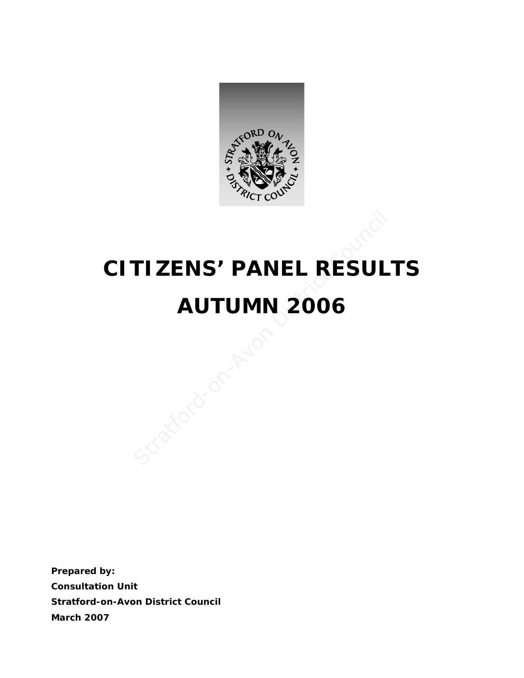

# **CITIZENS' PANEL RESULTS AUTUMN 2006**  TIZENS' PANEL RESUL<br>AUTUMN 2006

**Prepared by: Consultation Unit Stratford-on-Avon District Council March 2007**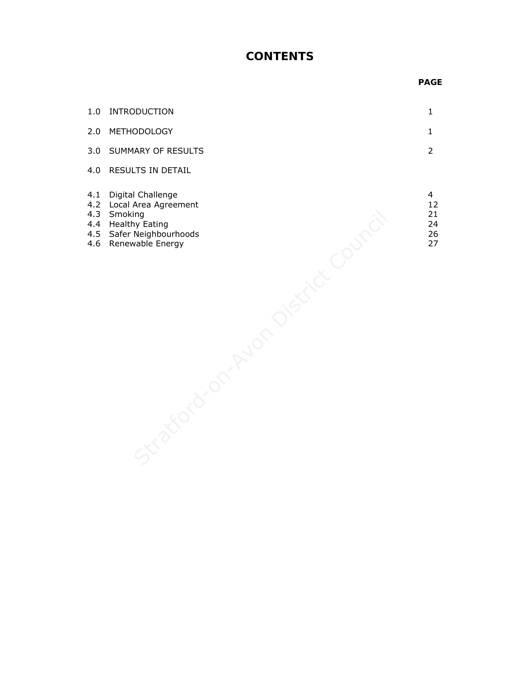## **CONTENTS**

### *PAGE* PAGE

| 1.0 INTRODUCTION       |  |
|------------------------|--|
| 2.0 METHODOLOGY        |  |
| 3.0 SUMMARY OF RESULTS |  |
| 4.0 RESULTS IN DETAIL  |  |
|                        |  |

- 4.1 Digital Challenge 4
- 4.2 Local Area Agreement 12
- 4.3 Smoking 21
- 4.4 Healthy Eating 24
- 4.5 Safer Neighbourhoods 26 ing Meating<br>Neighbourhoods<br>Wable Energy<br>Council Council Council Council<br>Council Council Council Council
- 4.6 Renewable Energy 27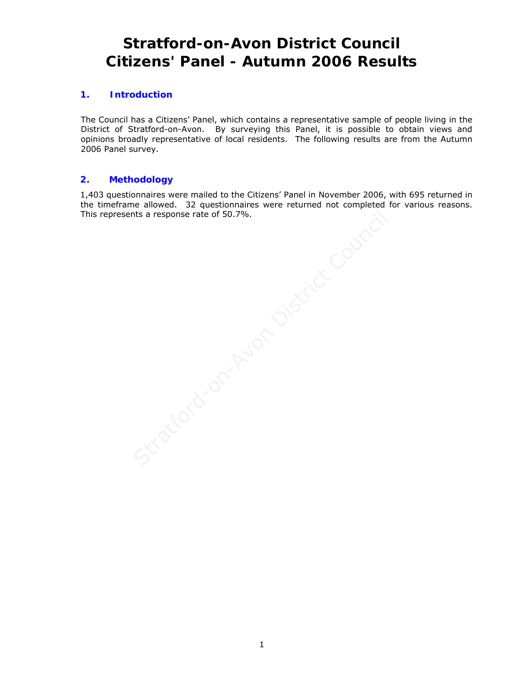# **Stratford-on-Avon District Council Citizens' Panel - Autumn 2006 Results**

### **1. Introduction**

The Council has a Citizens' Panel, which contains a representative sample of people living in the District of Stratford-on-Avon. By surveying this Panel, it is possible to obtain views and opinions broadly representative of local residents. The following results are from the Autumn 2006 Panel survey.

### **2. Methodology**

1,403 questionnaires were mailed to the Citizens' Panel in November 2006, with 695 returned in the timeframe allowed. 32 questionnaires were returned not completed for various reasons. This represents a response rate of 50.7%.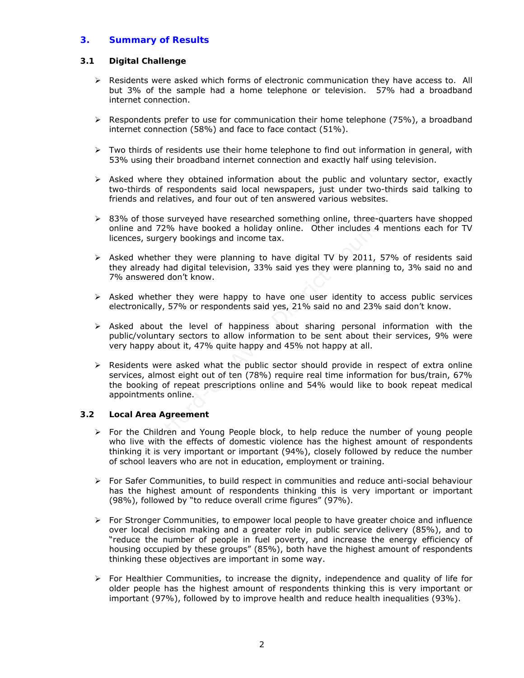### **3. Summary of Results**

### **3.1 Digital Challenge**

- $\triangleright$  Residents were asked which forms of electronic communication they have access to. All but 3% of the sample had a home telephone or television. 57% had a broadband internet connection.
- $\triangleright$  Respondents prefer to use for communication their home telephone (75%), a broadband internet connection (58%) and face to face contact (51%).
- $\triangleright$  Two thirds of residents use their home telephone to find out information in general, with 53% using their broadband internet connection and exactly half using television.
- $\triangleright$  Asked where they obtained information about the public and voluntary sector, exactly two-thirds of respondents said local newspapers, just under two-thirds said talking to friends and relatives, and four out of ten answered various websites.
- $\geq$  83% of those surveyed have researched something online, three-quarters have shopped online and 72% have booked a holiday online. Other includes 4 mentions each for TV licences, surgery bookings and income tax.
- $\triangleright$  Asked whether they were planning to have digital TV by 2011, 57% of residents said they already had digital television, 33% said yes they were planning to, 3% said no and 7% answered don't know.
- $\triangleright$  Asked whether they were happy to have one user identity to access public services electronically, 57% or respondents said yes, 21% said no and 23% said don't know.
- $\triangleright$  Asked about the level of happiness about sharing personal information with the public/voluntary sectors to allow information to be sent about their services, 9% were very happy about it, 47% quite happy and 45% not happy at all.
- $\triangleright$  Residents were asked what the public sector should provide in respect of extra online services, almost eight out of ten (78%) require real time information for bus/train, 67% the booking of repeat prescriptions online and 54% would like to book repeat medical appointments online. of those surveyed have researched something online, three-qu<br>
and 72% have booked a holiday online. Other includes 4 m<br>
es, surgery bookings and income tax.<br>
Whether they were planning to have digital TV by 2011, 57<br>
liera

### **3.2 Local Area Agreement**

- $\triangleright$  For the Children and Young People block, to help reduce the number of young people who live with the effects of domestic violence has the highest amount of respondents thinking it is very important or important (94%), closely followed by reduce the number of school leavers who are not in education, employment or training.
- $\triangleright$  For Safer Communities, to build respect in communities and reduce anti-social behaviour has the highest amount of respondents thinking this is very important or important (98%), followed by "to reduce overall crime figures" (97%).
- $\triangleright$  For Stronger Communities, to empower local people to have greater choice and influence over local decision making and a greater role in public service delivery (85%), and to "reduce the number of people in fuel poverty, and increase the energy efficiency of housing occupied by these groups" (85%), both have the highest amount of respondents thinking these objectives are important in some way.
- $\triangleright$  For Healthier Communities, to increase the dignity, independence and quality of life for older people has the highest amount of respondents thinking this is very important or important (97%), followed by to improve health and reduce health inequalities (93%).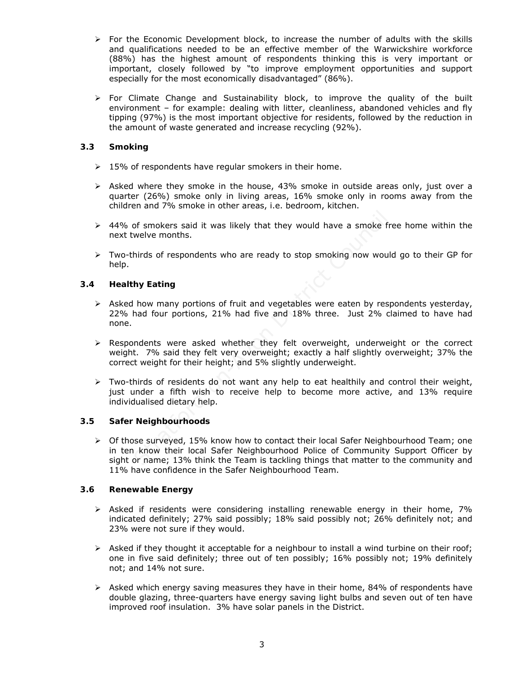- $\triangleright$  For the Economic Development block, to increase the number of adults with the skills and qualifications needed to be an effective member of the Warwickshire workforce (88%) has the highest amount of respondents thinking this is very important or important, closely followed by "to improve employment opportunities and support especially for the most economically disadvantaged" (86%).
- $\triangleright$  For Climate Change and Sustainability block, to improve the quality of the built environment – for example: dealing with litter, cleanliness, abandoned vehicles and fly tipping (97%) is the most important objective for residents, followed by the reduction in the amount of waste generated and increase recycling (92%).

### **3.3 Smoking**

- $\geq 15\%$  of respondents have regular smokers in their home.
- $\triangleright$  Asked where they smoke in the house, 43% smoke in outside areas only, just over a quarter (26%) smoke only in living areas, 16% smoke only in rooms away from the children and 7% smoke in other areas, i.e. bedroom, kitchen.
- $\geq$  44% of smokers said it was likely that they would have a smoke free home within the next twelve months.
- $\triangleright$  Two-thirds of respondents who are ready to stop smoking now would go to their GP for help.

### **3.4 Healthy Eating**

- $\triangleright$  Asked how many portions of fruit and vegetables were eaten by respondents yesterday, 22% had four portions, 21% had five and 18% three. Just 2% claimed to have had none.
- $\triangleright$  Respondents were asked whether they felt overweight, underweight or the correct weight. 7% said they felt very overweight; exactly a half slightly overweight; 37% the correct weight for their height; and 5% slightly underweight.
- $\triangleright$  Two-thirds of residents do not want any help to eat healthily and control their weight, just under a fifth wish to receive help to become more active, and 13% require individualised dietary help.

### **3.5 Safer Neighbourhoods**

 $\triangleright$  Of those surveyed, 15% know how to contact their local Safer Neighbourhood Team; one in ten know their local Safer Neighbourhood Police of Community Support Officer by sight or name; 13% think the Team is tackling things that matter to the community and 11% have confidence in the Safer Neighbourhood Team. of smokers said it was likely that they would have a smoke f<br>welve months.<br>hirds of respondents who are ready to stop smoking now wou<br>**hy Eating**<br>low many portions of fruit and vegetables were eaten by res<br>had four portion

### **3.6 Renewable Energy**

- $\triangleright$  Asked if residents were considering installing renewable energy in their home, 7% indicated definitely; 27% said possibly; 18% said possibly not; 26% definitely not; and 23% were not sure if they would.
- $\triangleright$  Asked if they thought it acceptable for a neighbour to install a wind turbine on their roof; one in five said definitely; three out of ten possibly; 16% possibly not; 19% definitely not; and 14% not sure.
- $\triangleright$  Asked which energy saving measures they have in their home, 84% of respondents have double glazing, three-quarters have energy saving light bulbs and seven out of ten have improved roof insulation. 3% have solar panels in the District.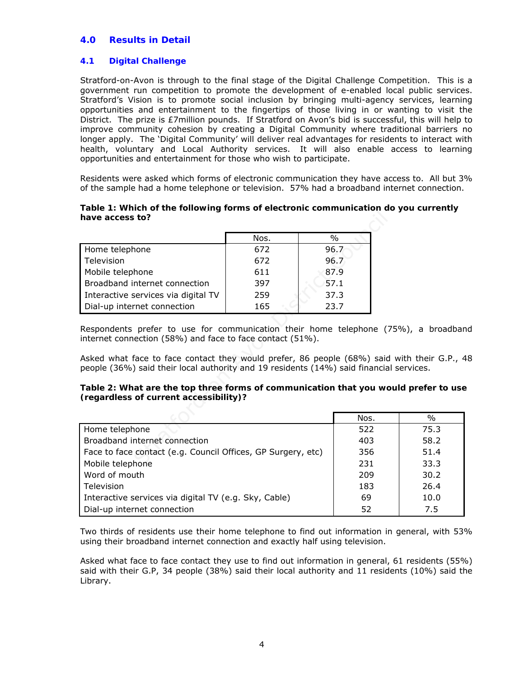### **4.0 Results in Detail**

### **4.1 Digital Challenge**

Stratford-on-Avon is through to the final stage of the Digital Challenge Competition. This is a government run competition to promote the development of e-enabled local public services. Stratford's Vision is to promote social inclusion by bringing multi-agency services, learning opportunities and entertainment to the fingertips of those living in or wanting to visit the District. The prize is £7million pounds. If Stratford on Avon's bid is successful, this will help to improve community cohesion by creating a Digital Community where traditional barriers no longer apply. The 'Digital Community' will deliver real advantages for residents to interact with health, voluntary and Local Authority services. It will also enable access to learning opportunities and entertainment for those who wish to participate.

Residents were asked which forms of electronic communication they have access to. All but 3% of the sample had a home telephone or television. 57% had a broadband internet connection.

### **Table 1: Which of the following forms of electronic communication do you currently have access to?**

| have access to?                                                                                                                                                                                                                                                          |      |  |      |
|--------------------------------------------------------------------------------------------------------------------------------------------------------------------------------------------------------------------------------------------------------------------------|------|--|------|
|                                                                                                                                                                                                                                                                          | Nos. |  | %    |
| Home telephone                                                                                                                                                                                                                                                           | 672  |  | 96.7 |
| Television                                                                                                                                                                                                                                                               | 672  |  | 96.7 |
| Mobile telephone                                                                                                                                                                                                                                                         | 611  |  | 87.9 |
| Broadband internet connection                                                                                                                                                                                                                                            | 397  |  | 57.1 |
| Interactive services via digital TV                                                                                                                                                                                                                                      | 259  |  | 37.3 |
| Dial-up internet connection                                                                                                                                                                                                                                              | 165  |  | 23.7 |
| Asked what face to face contact they would prefer, 86 people (68%) said<br>people (36%) said their local authority and 19 residents (14%) said financial<br>Table 2: What are the top three forms of communication that you wo<br>(regardless of current accessibility)? |      |  |      |
|                                                                                                                                                                                                                                                                          |      |  | Nos. |
| Home telephone                                                                                                                                                                                                                                                           |      |  | 522  |
| Broadband internet connection                                                                                                                                                                                                                                            | 403  |  |      |
| Face to face contact (e.g. Council Offices, GP Surgery, etc)                                                                                                                                                                                                             | 356  |  |      |
| Mobile telephone                                                                                                                                                                                                                                                         |      |  | 231  |

Respondents prefer to use for communication their home telephone (75%), a broadband internet connection (58%) and face to face contact (51%).

Asked what face to face contact they would prefer, 86 people (68%) said with their G.P., 48 people (36%) said their local authority and 19 residents (14%) said financial services.

### **Table 2: What are the top three forms of communication that you would prefer to use (regardless of current accessibility)?**

|                                                              | Nos. | $\%$ |
|--------------------------------------------------------------|------|------|
| Home telephone                                               | 522  | 75.3 |
| Broadband internet connection                                | 403  | 58.2 |
| Face to face contact (e.g. Council Offices, GP Surgery, etc) | 356  | 51.4 |
| Mobile telephone                                             | 231  | 33.3 |
| Word of mouth                                                | 209  | 30.2 |
| Television                                                   | 183  | 26.4 |
| Interactive services via digital TV (e.g. Sky, Cable)        | 69   | 10.0 |
| Dial-up internet connection                                  | 52   | 7.5  |

Two thirds of residents use their home telephone to find out information in general, with 53% using their broadband internet connection and exactly half using television.

Asked what face to face contact they use to find out information in general, 61 residents (55%) said with their G.P, 34 people (38%) said their local authority and 11 residents (10%) said the Library.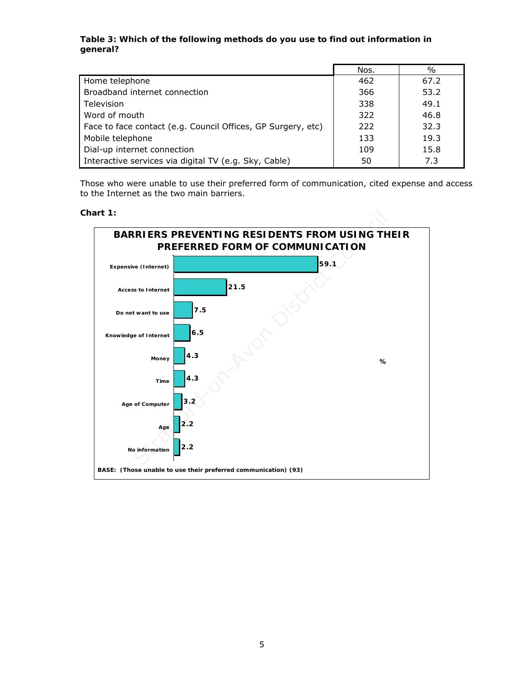### **Table 3: Which of the following methods do you use to find out information in general?**

|                                                              | Nos. | $\frac{0}{0}$ |
|--------------------------------------------------------------|------|---------------|
| Home telephone                                               | 462  | 67.2          |
| Broadband internet connection                                | 366  | 53.2          |
| Television                                                   | 338  | 49.1          |
| Word of mouth                                                | 322  | 46.8          |
| Face to face contact (e.g. Council Offices, GP Surgery, etc) | 222  | 32.3          |
| Mobile telephone                                             | 133  | 19.3          |
| Dial-up internet connection                                  | 109  | 15.8          |
| Interactive services via digital TV (e.g. Sky, Cable)        | 50   | 7.3           |

Those who were unable to use their preferred form of communication, cited expense and access to the Internet as the two main barriers.

**Chart 1:** 

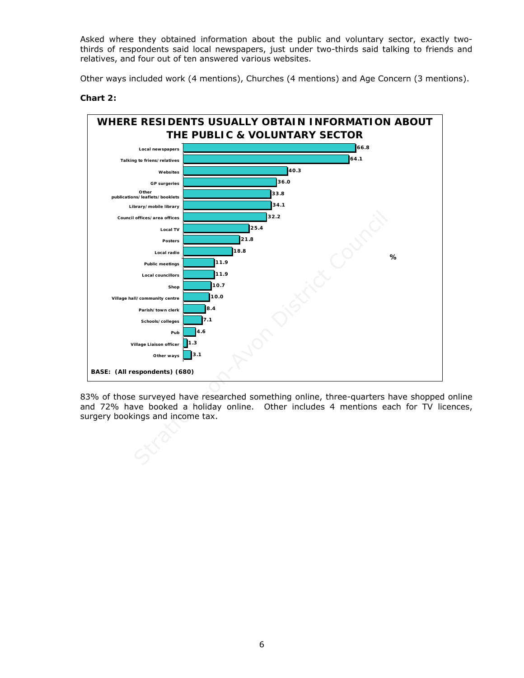Asked where they obtained information about the public and voluntary sector, exactly twothirds of respondents said local newspapers, just under two-thirds said talking to friends and relatives, and four out of ten answered various websites.

Other ways included work (4 mentions), Churches (4 mentions) and Age Concern (3 mentions).



### **Chart 2:**

83% of those surveyed have researched something online, three-quarters have shopped online and 72% have booked a holiday online. Other includes 4 mentions each for TV licences, surgery bookings and income tax.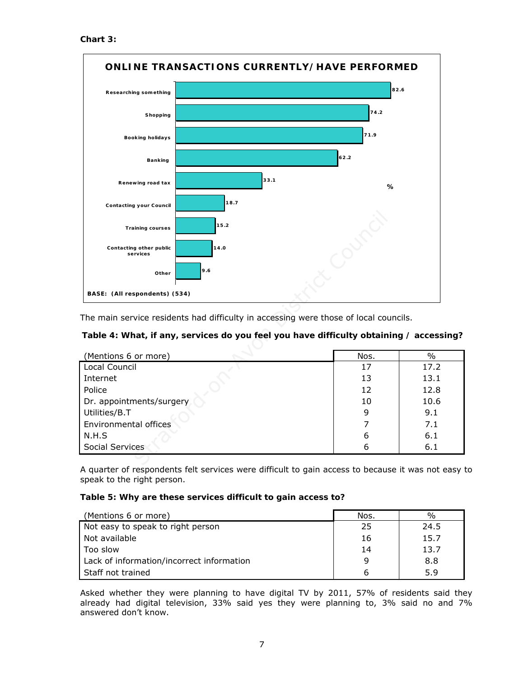**Chart 3:** 



### **Table 4: What, if any, services do you feel you have difficulty obtaining / accessing?**

| 15.2<br><b>Training courses</b>                                                        |      |      |
|----------------------------------------------------------------------------------------|------|------|
|                                                                                        |      |      |
| 14.0<br>Contacting other public<br>services                                            |      |      |
| 9.6<br>Other                                                                           |      |      |
| BASE: (All respondents) (534)                                                          |      |      |
|                                                                                        |      |      |
| The main service residents had difficulty in accessing were those of local councils.   |      |      |
| Table 4: What, if any, services do you feel you have difficulty obtaining / accessing? |      |      |
|                                                                                        |      |      |
| (Mentions 6 or more)                                                                   | Nos. | $\%$ |
| Local Council                                                                          | 17   | 17.2 |
| Internet                                                                               | 13   | 13.1 |
| Police                                                                                 | 12   | 12.8 |
| Dr. appointments/surgery                                                               | 10   | 10.6 |
| Utilities/B.T                                                                          | 9    | 9.1  |
| Environmental offices                                                                  |      | 7.1  |
| N.H.S                                                                                  | 6    | 6.1  |
| Social Services                                                                        | 6    |      |
|                                                                                        |      | 6.1  |

A quarter of respondents felt services were difficult to gain access to because it was not easy to speak to the right person.

### **Table 5: Why are these services difficult to gain access to?**

| (Mentions 6 or more)                      | Nos. | $\%$ |
|-------------------------------------------|------|------|
| Not easy to speak to right person         | 25   | 24.5 |
| Not available                             | 16   | 15.7 |
| Too slow                                  | 14   | 13.7 |
| Lack of information/incorrect information | 9    | 8.8  |
| Staff not trained                         | b    | 5.9  |

Asked whether they were planning to have digital TV by 2011, 57% of residents said they already had digital television, 33% said yes they were planning to, 3% said no and 7% answered don't know.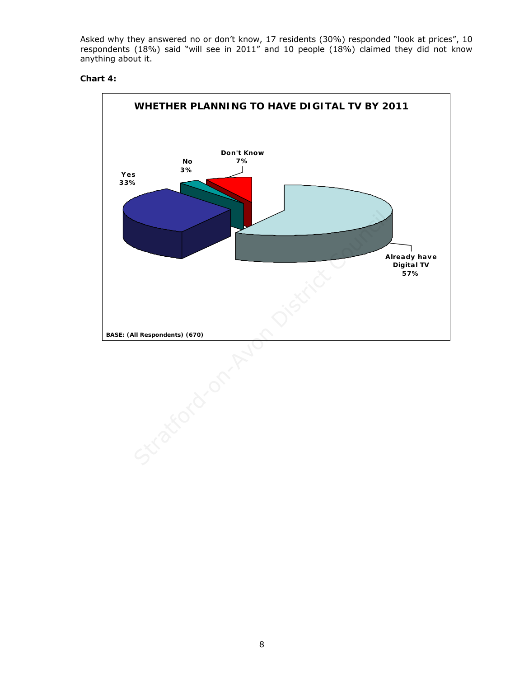Asked why they answered no or don't know, 17 residents (30%) responded "look at prices", 10 respondents (18%) said "will see in 2011" and 10 people (18%) claimed they did not know anything about it.

### **Chart 4:**

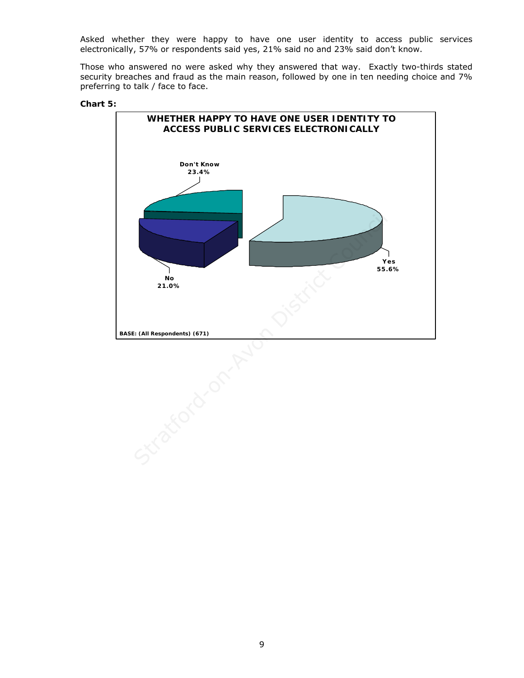Asked whether they were happy to have one user identity to access public services electronically, 57% or respondents said yes, 21% said no and 23% said don't know.

Those who answered no were asked why they answered that way. Exactly two-thirds stated security breaches and fraud as the main reason, followed by one in ten needing choice and 7% preferring to talk / face to face.



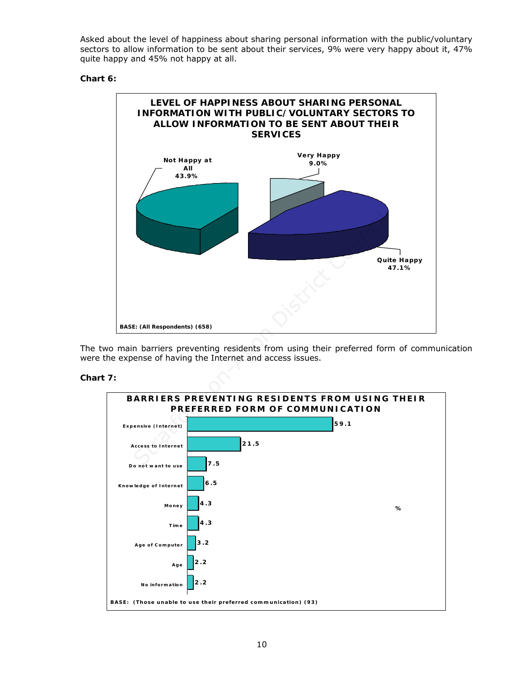Asked about the level of happiness about sharing personal information with the public/voluntary sectors to allow information to be sent about their services, 9% were very happy about it, 47% quite happy and 45% not happy at all.

### **Chart 6:**



The two main barriers preventing residents from using their preferred form of communication were the expense of having the Internet and access issues.

### **Chart 7:**

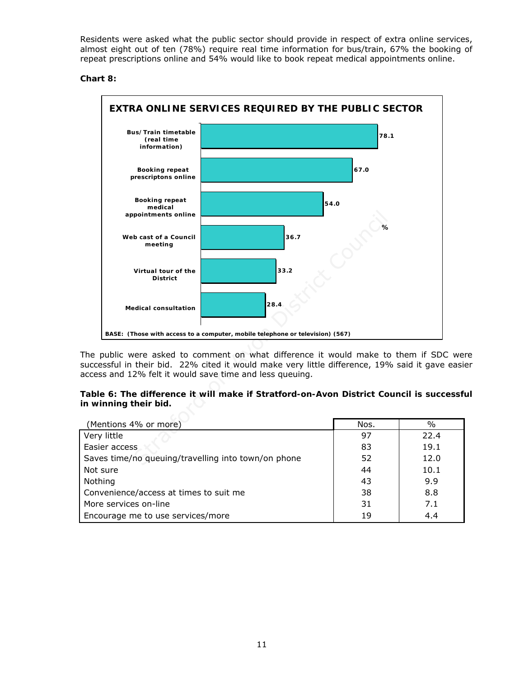Residents were asked what the public sector should provide in respect of extra online services, almost eight out of ten (78%) require real time information for bus/train, 67% the booking of repeat prescriptions online and 54% would like to book repeat medical appointments online.

### **Chart 8:**



The public were asked to comment on what difference it would make to them if SDC were successful in their bid. 22% cited it would make very little difference, 19% said it gave easier access and 12% felt it would save time and less queuing.

### **Table 6: The difference it will make if Stratford-on-Avon District Council is successful in winning their bid.**

| (Mentions 4% or more)                               | Nos. | $\%$ |
|-----------------------------------------------------|------|------|
| Very little                                         | 97   | 22.4 |
| Easier access                                       | 83   | 19.1 |
| Saves time/no queuing/travelling into town/on phone | 52   | 12.0 |
| Not sure                                            | 44   | 10.1 |
| Nothing                                             | 43   | 9.9  |
| Convenience/access at times to suit me              | 38   | 8.8  |
| More services on-line                               | 31   | 7.1  |
| Encourage me to use services/more                   | 19   | 4.4  |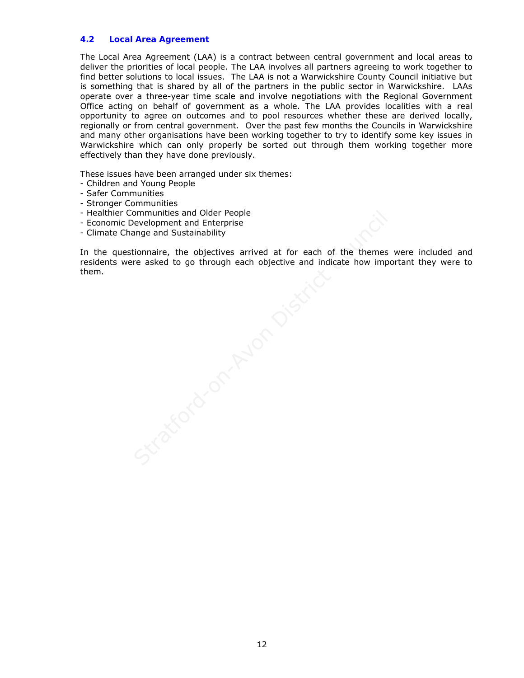### **4.2 Local Area Agreement**

The Local Area Agreement (LAA) is a contract between central government and local areas to deliver the priorities of local people. The LAA involves all partners agreeing to work together to find better solutions to local issues. The LAA is not a Warwickshire County Council initiative but is something that is shared by all of the partners in the public sector in Warwickshire. LAAs operate over a three-year time scale and involve negotiations with the Regional Government Office acting on behalf of government as a whole. The LAA provides localities with a real opportunity to agree on outcomes and to pool resources whether these are derived locally, regionally or from central government. Over the past few months the Councils in Warwickshire and many other organisations have been working together to try to identify some key issues in Warwickshire which can only properly be sorted out through them working together more effectively than they have done previously.

These issues have been arranged under six themes:

- Children and Young People
- Safer Communities
- Stronger Communities
- Healthier Communities and Older People
- Economic Development and Enterprise
- Climate Change and Sustainability

 In the questionnaire, the objectives arrived at for each of the themes were included and residents were asked to go through each objective and indicate how important they were to them.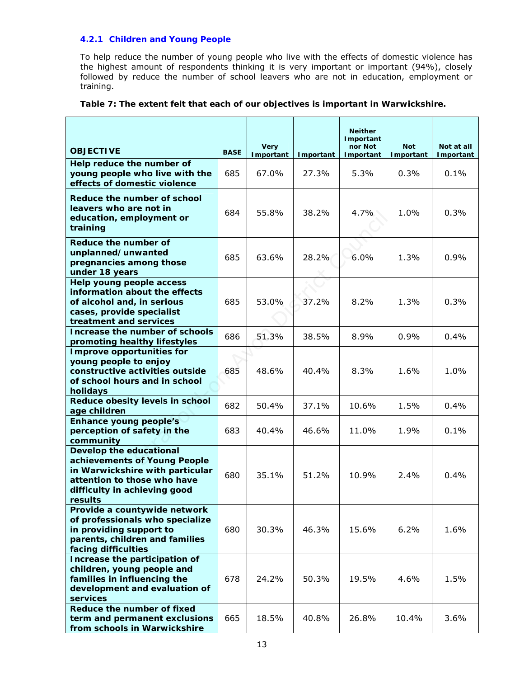### **4.2.1 Children and Young People**

To help reduce the number of young people who live with the effects of domestic violence has the highest amount of respondents thinking it is very important or important (94%), closely followed by reduce the number of school leavers who are not in education, employment or training.

|                                                                                                                                                                             |             | <b>Very</b> |           | <b>Neither</b><br>Important<br>nor Not | <b>Not</b> | Not at all |
|-----------------------------------------------------------------------------------------------------------------------------------------------------------------------------|-------------|-------------|-----------|----------------------------------------|------------|------------|
| <b>OBJECTIVE</b>                                                                                                                                                            | <b>BASE</b> | Important   | Important | Important                              | Important  | Important  |
| Help reduce the number of<br>young people who live with the<br>effects of domestic violence                                                                                 | 685         | 67.0%       | 27.3%     | 5.3%                                   | 0.3%       | 0.1%       |
| Reduce the number of school<br>leavers who are not in<br>education, employment or<br>training                                                                               | 684         | 55.8%       | 38.2%     | 4.7%                                   | 1.0%       | 0.3%       |
| Reduce the number of<br>unplanned/unwanted<br>pregnancies among those<br>under 18 years                                                                                     | 685         | 63.6%       | 28.2%     | 6.0%                                   | 1.3%       | 0.9%       |
| Help young people access<br>information about the effects<br>of alcohol and, in serious<br>cases, provide specialist<br>treatment and services                              | 685         | 53.0%       | 37.2%     | 8.2%                                   | 1.3%       | 0.3%       |
| Increase the number of schools<br>promoting healthy lifestyles                                                                                                              | 686         | 51.3%       | 38.5%     | 8.9%                                   | 0.9%       | 0.4%       |
| Improve opportunities for<br>young people to enjoy<br>constructive activities outside<br>of school hours and in school<br>holidays                                          | 685         | 48.6%       | 40.4%     | 8.3%                                   | 1.6%       | 1.0%       |
| Reduce obesity levels in school<br>age children                                                                                                                             | 682         | 50.4%       | 37.1%     | 10.6%                                  | 1.5%       | 0.4%       |
| <b>Enhance young people's</b><br>perception of safety in the<br>community                                                                                                   | 683         | 40.4%       | 46.6%     | 11.0%                                  | 1.9%       | 0.1%       |
| Develop the educational<br>achievements of Young People<br>in Warwickshire with particular<br>attention to those who have<br>difficulty in achieving good<br><b>results</b> | 680         | 35.1%       | 51.2%     | 10.9%                                  | 2.4%       | 0.4%       |
| Provide a countywide network<br>of professionals who specialize<br>in providing support to<br>parents, children and families<br>facing difficulties                         | 680         | 30.3%       | 46.3%     | 15.6%                                  | 6.2%       | 1.6%       |
| Increase the participation of<br>children, young people and<br>families in influencing the<br>development and evaluation of<br>services                                     | 678         | 24.2%       | 50.3%     | 19.5%                                  | 4.6%       | 1.5%       |
| Reduce the number of fixed<br>term and permanent exclusions<br>from schools in Warwickshire                                                                                 | 665         | 18.5%       | 40.8%     | 26.8%                                  | 10.4%      | 3.6%       |

### **Table 7: The extent felt that each of our objectives is important in Warwickshire.**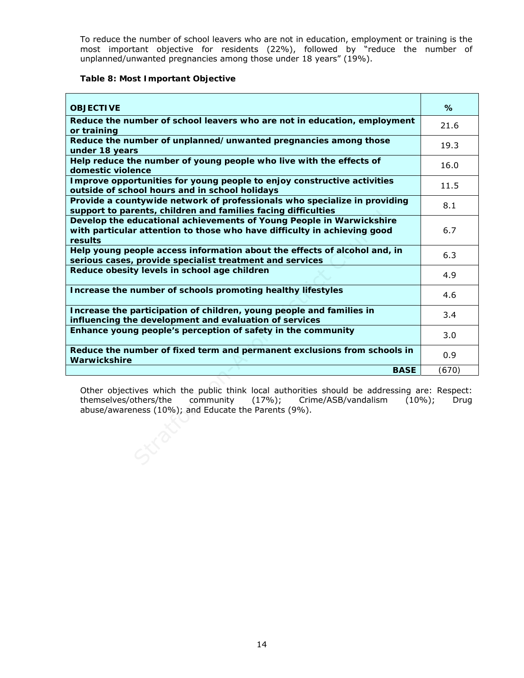To reduce the number of school leavers who are not in education, employment or training is the most important objective for residents (22%), followed by "reduce the number of unplanned/unwanted pregnancies among those under 18 years" (19%).

### **Table 8: Most Important Objective**

| <b>OBJECTIVE</b>                                                                                                                                                                                                                  | %     |  |  |  |
|-----------------------------------------------------------------------------------------------------------------------------------------------------------------------------------------------------------------------------------|-------|--|--|--|
| Reduce the number of school leavers who are not in education, employment<br>or training                                                                                                                                           | 21.6  |  |  |  |
| Reduce the number of unplanned/unwanted pregnancies among those<br>under 18 years                                                                                                                                                 | 19.3  |  |  |  |
| Help reduce the number of young people who live with the effects of<br>domestic violence                                                                                                                                          | 16.0  |  |  |  |
| Improve opportunities for young people to enjoy constructive activities<br>outside of school hours and in school holidays                                                                                                         | 11.5  |  |  |  |
| Provide a countywide network of professionals who specialize in providing<br>support to parents, children and families facing difficulties                                                                                        | 8.1   |  |  |  |
| Develop the educational achievements of Young People in Warwickshire<br>with particular attention to those who have difficulty in achieving good<br>results                                                                       | 6.7   |  |  |  |
| Help young people access information about the effects of alcohol and, in<br>serious cases, provide specialist treatment and services                                                                                             | 6.3   |  |  |  |
| Reduce obesity levels in school age children                                                                                                                                                                                      | 4.9   |  |  |  |
| Increase the number of schools promoting healthy lifestyles                                                                                                                                                                       | 4.6   |  |  |  |
| Increase the participation of children, young people and families in<br>influencing the development and evaluation of services                                                                                                    | 3.4   |  |  |  |
| Enhance young people's perception of safety in the community                                                                                                                                                                      | 3.0   |  |  |  |
| Reduce the number of fixed term and permanent exclusions from schools in<br>Warwickshire                                                                                                                                          | 0.9   |  |  |  |
| <b>BASE</b>                                                                                                                                                                                                                       | (670) |  |  |  |
| Other objectives which the public think local authorities should be addressing are: Respect:<br>themselves/others/the community (17%); Crime/ASB/vandalism (10%);<br>Drug<br>abuse/awareness (10%); and Educate the Parents (9%). |       |  |  |  |
|                                                                                                                                                                                                                                   |       |  |  |  |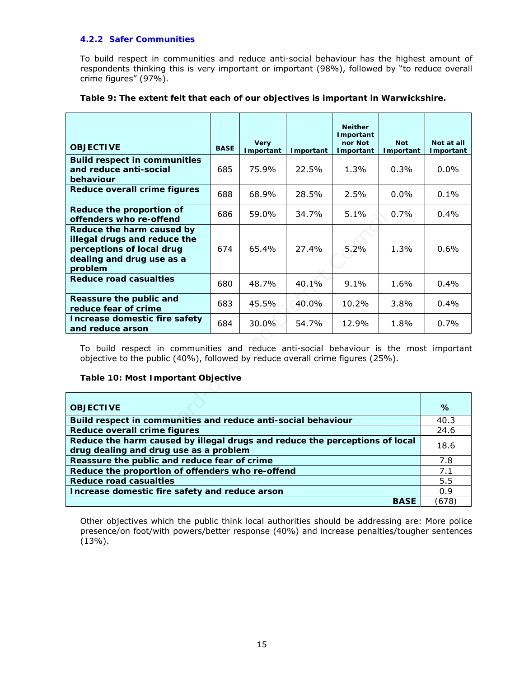### **4.2.2 Safer Communities**

To build respect in communities and reduce anti-social behaviour has the highest amount of respondents thinking this is very important or important (98%), followed by "to reduce overall crime figures" (97%).

| <b>OBJECTIVE</b>                                                                                                                                                                                               | <b>BASE</b> | <b>Very</b><br>Important | Important | <b>Neither</b><br>Important<br>nor Not<br>Important | <b>Not</b><br>Important | Not at all<br>Important |
|----------------------------------------------------------------------------------------------------------------------------------------------------------------------------------------------------------------|-------------|--------------------------|-----------|-----------------------------------------------------|-------------------------|-------------------------|
| <b>Build respect in communities</b><br>and reduce anti-social<br>behaviour                                                                                                                                     | 685         | 75.9%                    | 22.5%     | 1.3%                                                | 0.3%                    | $0.0\%$                 |
| <b>Reduce overall crime figures</b>                                                                                                                                                                            | 688         | 68.9%                    | 28.5%     | 2.5%                                                | 0.0%                    | 0.1%                    |
| Reduce the proportion of<br>offenders who re-offend                                                                                                                                                            | 686         | 59.0%                    | 34.7%     | 5.1%                                                | 0.7%                    | 0.4%                    |
| Reduce the harm caused by<br>illegal drugs and reduce the<br>perceptions of local drug<br>dealing and drug use as a<br>problem                                                                                 | 674         | 65.4%                    | 27.4%     | 5.2%                                                | 1.3%                    | 0.6%                    |
| <b>Reduce road casualties</b>                                                                                                                                                                                  | 680         | 48.7%                    | 40.1%     | 9.1%                                                | 1.6%                    | $0.4\%$                 |
| Reassure the public and<br>reduce fear of crime                                                                                                                                                                | 683         | 45.5%                    | 40.0%     | 10.2%                                               | 3.8%                    | 0.4%                    |
| Increase domestic fire safety<br>and reduce arson                                                                                                                                                              | 684         | 30.0%                    | 54.7%     | 12.9%                                               | 1.8%                    | 0.7%                    |
| To build respect in communities and reduce anti-social behaviour is the most important<br>objective to the public (40%), followed by reduce overall crime figures (25%).<br>Table 10: Most Important Objective |             |                          |           |                                                     |                         |                         |
| <b>OBJECTIVE</b>                                                                                                                                                                                               |             |                          |           |                                                     |                         | %                       |
| Build respect in communities and reduce anti-social behaviour                                                                                                                                                  |             |                          |           |                                                     |                         | 40.3                    |
| <b>Reduce overall crime figures</b>                                                                                                                                                                            |             |                          |           |                                                     |                         | 24.6                    |
| Reduce the harm caused by illegal drugs and reduce the perceptions of local<br>drug dealing and drug use as a problem                                                                                          |             |                          |           |                                                     |                         | 18.6                    |
| Reassure the public and reduce fear of crime                                                                                                                                                                   |             |                          |           |                                                     |                         | 7.8                     |

### **Table 9: The extent felt that each of our objectives is important in Warwickshire.**

### **Table 10: Most Important Objective**

| <b>OBJECTIVE</b>                                                            | %    |
|-----------------------------------------------------------------------------|------|
| Build respect in communities and reduce anti-social behaviour               | 40.3 |
| Reduce overall crime figures                                                | 24.6 |
| Reduce the harm caused by illegal drugs and reduce the perceptions of local | 18.6 |
| drug dealing and drug use as a problem                                      |      |
| Reassure the public and reduce fear of crime                                | 7.8  |
| Reduce the proportion of offenders who re-offend                            | 7.1  |
| <b>Reduce road casualties</b>                                               | 5.5  |
| Increase domestic fire safety and reduce arson                              | 0.9  |
| <b>BASE</b>                                                                 | 678  |

Other objectives which the public think local authorities should be addressing are: More police presence/on foot/with powers/better response (40%) and increase penalties/tougher sentences (13%).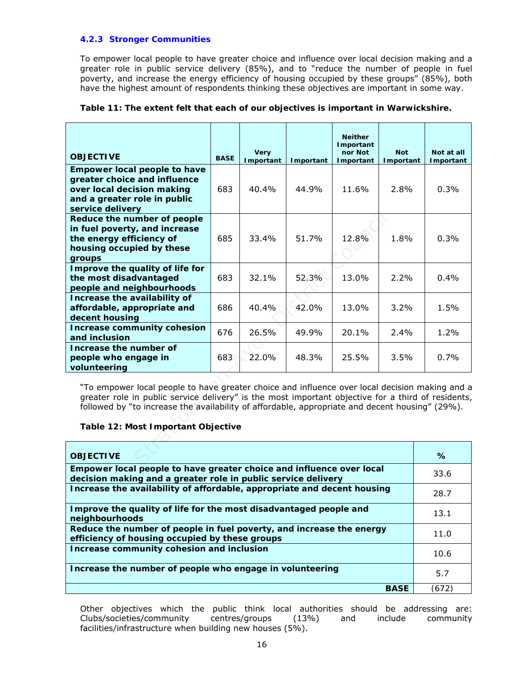### **4.2.3 Stronger Communities**

To empower local people to have greater choice and influence over local decision making and a greater role in public service delivery (85%), and to "reduce the number of people in fuel poverty, and increase the energy efficiency of housing occupied by these groups" (85%), both have the highest amount of respondents thinking these objectives are important in some way.

| <b>OBJECTIVE</b>                                                                                                                                                                                                                                                                                                                              | <b>BASE</b> | <b>Very</b><br>Important | Important | <b>Neither</b><br>Important<br>nor Not<br>Important | <b>Not</b><br>Important | Not at all<br>Important |  |
|-----------------------------------------------------------------------------------------------------------------------------------------------------------------------------------------------------------------------------------------------------------------------------------------------------------------------------------------------|-------------|--------------------------|-----------|-----------------------------------------------------|-------------------------|-------------------------|--|
| <b>Empower local people to have</b>                                                                                                                                                                                                                                                                                                           |             |                          |           |                                                     |                         |                         |  |
| greater choice and influence                                                                                                                                                                                                                                                                                                                  |             |                          |           |                                                     |                         |                         |  |
| over local decision making                                                                                                                                                                                                                                                                                                                    | 683         | 40.4%                    | 44.9%     | 11.6%                                               | 2.8%                    | 0.3%                    |  |
| and a greater role in public                                                                                                                                                                                                                                                                                                                  |             |                          |           |                                                     |                         |                         |  |
| service delivery                                                                                                                                                                                                                                                                                                                              |             |                          |           |                                                     |                         |                         |  |
| Reduce the number of people                                                                                                                                                                                                                                                                                                                   |             |                          |           |                                                     |                         |                         |  |
| in fuel poverty, and increase                                                                                                                                                                                                                                                                                                                 |             |                          |           |                                                     |                         |                         |  |
| the energy efficiency of<br>housing occupied by these                                                                                                                                                                                                                                                                                         | 685         | 33.4%                    | 51.7%     | 12.8%                                               | 1.8%                    | 0.3%                    |  |
| groups                                                                                                                                                                                                                                                                                                                                        |             |                          |           |                                                     |                         |                         |  |
| Improve the quality of life for                                                                                                                                                                                                                                                                                                               |             |                          |           |                                                     |                         |                         |  |
| the most disadvantaged                                                                                                                                                                                                                                                                                                                        | 683         | 32.1%                    | 52.3%     | 13.0%                                               | 2.2%                    | $0.4\%$                 |  |
| people and neighbourhoods                                                                                                                                                                                                                                                                                                                     |             |                          |           |                                                     |                         |                         |  |
| Increase the availability of                                                                                                                                                                                                                                                                                                                  |             |                          |           |                                                     |                         |                         |  |
| affordable, appropriate and                                                                                                                                                                                                                                                                                                                   | 686         | 40.4%                    | 42.0%     | 13.0%                                               | 3.2%                    | 1.5%                    |  |
| decent housing                                                                                                                                                                                                                                                                                                                                |             |                          |           |                                                     |                         |                         |  |
| Increase community cohesion<br>and inclusion                                                                                                                                                                                                                                                                                                  | 676         | 26.5%                    | 49.9%     | 20.1%                                               | 2.4%                    | 1.2%                    |  |
| Increase the number of                                                                                                                                                                                                                                                                                                                        |             |                          |           |                                                     |                         |                         |  |
| people who engage in                                                                                                                                                                                                                                                                                                                          | 683         | 22.0%                    | 48.3%     | 25.5%                                               | 3.5%                    | 0.7%                    |  |
| volunteering                                                                                                                                                                                                                                                                                                                                  |             |                          |           |                                                     |                         |                         |  |
| "To empower local people to have greater choice and influence over local decision making and a<br>greater role in public service delivery" is the most important objective for a third of residents,<br>followed by "to increase the availability of affordable, appropriate and decent housing" (29%).<br>Table 12: Most Important Objective |             |                          |           |                                                     |                         |                         |  |
| <b>OBJECTIVE</b>                                                                                                                                                                                                                                                                                                                              |             |                          |           |                                                     | $\%$                    |                         |  |

### **Table 11: The extent felt that each of our objectives is important in Warwickshire.**

### **Table 12: Most Important Objective**

| <b>OBJECTIVE</b>                                                                                                                      | $\%$  |
|---------------------------------------------------------------------------------------------------------------------------------------|-------|
| Empower local people to have greater choice and influence over local<br>decision making and a greater role in public service delivery | 33.6  |
| Increase the availability of affordable, appropriate and decent housing                                                               | 28.7  |
| Improve the quality of life for the most disadvantaged people and<br>neighbourhoods                                                   | 13.1  |
| Reduce the number of people in fuel poverty, and increase the energy<br>efficiency of housing occupied by these groups                | 11.0  |
| Increase community cohesion and inclusion                                                                                             | 10.6  |
| Increase the number of people who engage in volunteering                                                                              | 5.7   |
| <b>BASE</b>                                                                                                                           | (672) |

Other objectives which the public think local authorities should be addressing are: Clubs/societies/community centres/groups (13%) and include community facilities/infrastructure when building new houses (5%).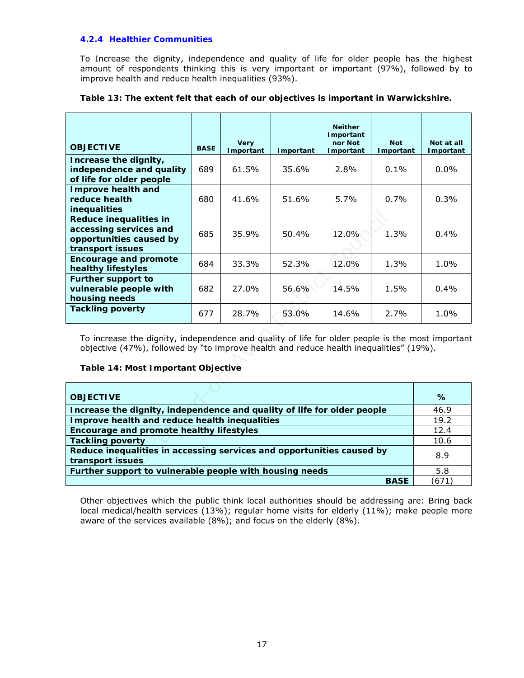### **4.2.4 Healthier Communities**

To Increase the dignity, independence and quality of life for older people has the highest amount of respondents thinking this is very important or important (97%), followed by to improve health and reduce health inequalities (93%).

|                                                                                                                                                                                                                                  |             |                          |           | <b>Neither</b>       |                         |                         |
|----------------------------------------------------------------------------------------------------------------------------------------------------------------------------------------------------------------------------------|-------------|--------------------------|-----------|----------------------|-------------------------|-------------------------|
|                                                                                                                                                                                                                                  |             |                          |           | Important            |                         |                         |
| <b>OBJECTIVE</b>                                                                                                                                                                                                                 | <b>BASE</b> | <b>Very</b><br>Important | Important | nor Not<br>Important | <b>Not</b><br>Important | Not at all<br>Important |
| Increase the dignity,                                                                                                                                                                                                            |             |                          |           |                      |                         |                         |
| independence and quality                                                                                                                                                                                                         | 689         | 61.5%                    | 35.6%     | 2.8%                 | $0.1\%$                 | $0.0\%$                 |
| of life for older people<br><b>Improve health and</b>                                                                                                                                                                            |             |                          |           |                      |                         |                         |
| reduce health                                                                                                                                                                                                                    | 680         | 41.6%                    | 51.6%     | 5.7%                 | 0.7%                    | 0.3%                    |
| inequalities                                                                                                                                                                                                                     |             |                          |           |                      |                         |                         |
| Reduce inequalities in                                                                                                                                                                                                           |             |                          |           |                      |                         |                         |
| accessing services and                                                                                                                                                                                                           | 685         | 35.9%                    | 50.4%     | 12.0%                | 1.3%                    | 0.4%                    |
| opportunities caused by                                                                                                                                                                                                          |             |                          |           |                      |                         |                         |
| transport issues                                                                                                                                                                                                                 |             |                          |           |                      |                         |                         |
| <b>Encourage and promote</b><br>healthy lifestyles                                                                                                                                                                               | 684         | 33.3%                    | 52.3%     | 12.0%                | 1.3%                    | $1.0\%$                 |
| <b>Further support to</b>                                                                                                                                                                                                        |             |                          |           |                      |                         |                         |
| vulnerable people with                                                                                                                                                                                                           | 682         | 27.0%                    | 56.6%     | 14.5%                | 1.5%                    | $0.4\%$                 |
| housing needs                                                                                                                                                                                                                    |             |                          |           |                      |                         |                         |
| <b>Tackling poverty</b>                                                                                                                                                                                                          | 677         | 28.7%                    | 53.0%     | 14.6%                | 2.7%                    | 1.0%                    |
| To increase the dignity, independence and quality of life for older people is the most important<br>objective (47%), followed by "to improve health and reduce health inequalities" (19%).<br>Table 14: Most Important Objective |             |                          |           |                      |                         |                         |
| <b>OBJECTIVE</b><br>%                                                                                                                                                                                                            |             |                          |           |                      |                         |                         |
| Increase the dignity, independence and quality of life for older people                                                                                                                                                          |             |                          |           |                      |                         | 46.9                    |
| Improve health and reduce health inequalities                                                                                                                                                                                    |             |                          |           |                      |                         | 19.2                    |
| Encourage and promote healthy lifestyles                                                                                                                                                                                         |             |                          |           |                      | 12.4<br>10.6            |                         |
| <b>Tackling poverty</b><br>Reduce inequalities in accessing services and opportunities caused by                                                                                                                                 |             |                          |           |                      |                         |                         |
| 8.9<br>transport issues                                                                                                                                                                                                          |             |                          |           |                      |                         |                         |

### **Table 13: The extent felt that each of our objectives is important in Warwickshire.**

### **Table 14: Most Important Objective**

| <b>OBJECTIVE</b>                                                                          | $\%$ |
|-------------------------------------------------------------------------------------------|------|
| Increase the dignity, independence and quality of life for older people                   | 46.9 |
| Improve health and reduce health inequalities                                             | 19.2 |
| Encourage and promote healthy lifestyles                                                  | 12.4 |
| <b>Tackling poverty</b>                                                                   | 10.6 |
| Reduce inequalities in accessing services and opportunities caused by<br>transport issues | 8.9  |
| Further support to vulnerable people with housing needs                                   | 5.8  |
| <b>BASE</b>                                                                               | 671  |

Other objectives which the public think local authorities should be addressing are: Bring back local medical/health services (13%); regular home visits for elderly (11%); make people more aware of the services available (8%); and focus on the elderly (8%).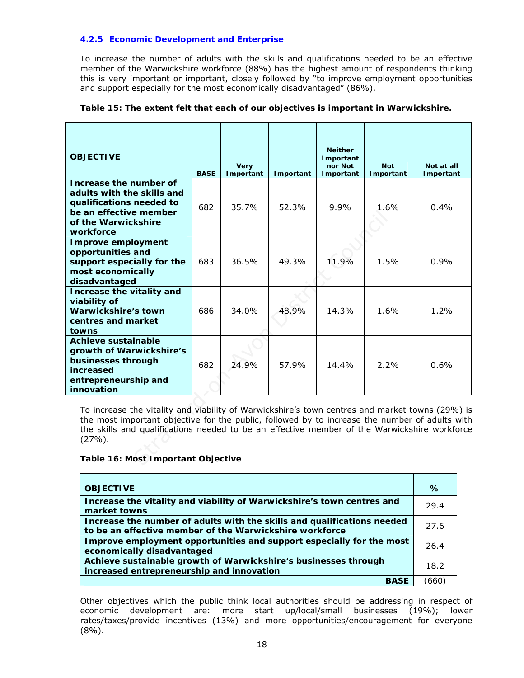### **4.2.5 Economic Development and Enterprise**

To increase the number of adults with the skills and qualifications needed to be an effective member of the Warwickshire workforce (88%) has the highest amount of respondents thinking this is very important or important, closely followed by "to improve employment opportunities and support especially for the most economically disadvantaged" (86%).

| <b>BASE</b>                                                                                                                                                                                                                                                                                                                                          | <b>Very</b><br>Important | Important | <b>Neither</b><br><b>Important</b><br>nor Not<br>Important | <b>Not</b><br>Important | Not at all<br>Important |  |
|------------------------------------------------------------------------------------------------------------------------------------------------------------------------------------------------------------------------------------------------------------------------------------------------------------------------------------------------------|--------------------------|-----------|------------------------------------------------------------|-------------------------|-------------------------|--|
| 682                                                                                                                                                                                                                                                                                                                                                  | 35.7%                    | 52.3%     | 9.9%                                                       | 1.6%                    | 0.4%                    |  |
| 683                                                                                                                                                                                                                                                                                                                                                  | 36.5%                    | 49.3%     | 11.9%                                                      | 1.5%                    | 0.9%                    |  |
| 686                                                                                                                                                                                                                                                                                                                                                  | 34.0%                    | 48.9%     | 14.3%                                                      | 1.6%                    | 1.2%                    |  |
| 682                                                                                                                                                                                                                                                                                                                                                  | 24.9%                    | 57.9%     | 14.4%                                                      | 2.2%                    | 0.6%                    |  |
| To increase the vitality and viability of Warwickshire's town centres and market towns (29%) is<br>the most important objective for the public, followed by to increase the number of adults with<br>the skills and qualifications needed to be an effective member of the Warwickshire workforce<br>$(27%)$ .<br>Table 16: Most Important Objective |                          |           |                                                            |                         |                         |  |
|                                                                                                                                                                                                                                                                                                                                                      |                          |           |                                                            |                         |                         |  |

### **Table 15: The extent felt that each of our objectives is important in Warwickshire.**

### **Table 16: Most Important Objective**

| <b>OBJECTIVE</b>                                                                                                                   | %    |
|------------------------------------------------------------------------------------------------------------------------------------|------|
| Increase the vitality and viability of Warwickshire's town centres and<br>market towns                                             | 29.4 |
| Increase the number of adults with the skills and qualifications needed<br>to be an effective member of the Warwickshire workforce | 27.6 |
| Improve employment opportunities and support especially for the most<br>economically disadvantaged                                 | 26.4 |
| Achieve sustainable growth of Warwickshire's businesses through<br>increased entrepreneurship and innovation                       | 18.2 |
| <b>BASE</b>                                                                                                                        | 666  |

Other objectives which the public think local authorities should be addressing in respect of economic development are: more start up/local/small businesses (19%); lower rates/taxes/provide incentives (13%) and more opportunities/encouragement for everyone  $(8\%)$ .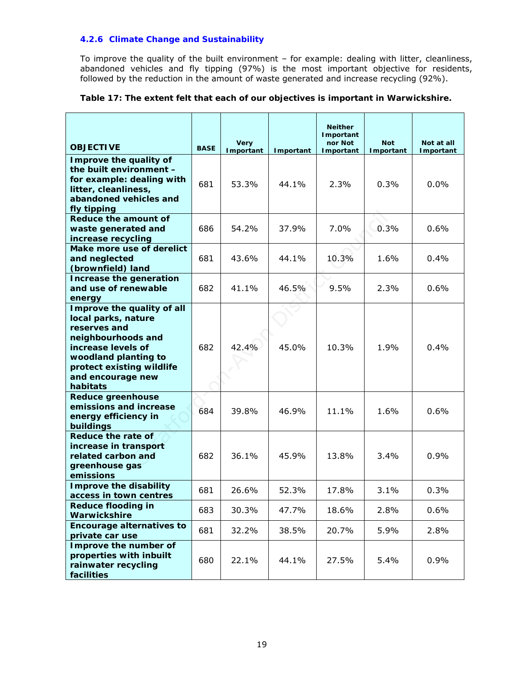### **4.2.6 Climate Change and Sustainability**

To improve the quality of the built environment – for example: dealing with litter, cleanliness, abandoned vehicles and fly tipping (97%) is the most important objective for residents, followed by the reduction in the amount of waste generated and increase recycling (92%).

### **Table 17: The extent felt that each of our objectives is important in Warwickshire.**

| <b>OBJECTIVE</b>                                                                                                                                                                                    | <b>BASE</b>                   | <b>Very</b><br>Important | <b>Neither</b><br>Important<br>nor Not<br>Important<br>Important |       | <b>Not</b><br>Important | Not at all<br>Important |
|-----------------------------------------------------------------------------------------------------------------------------------------------------------------------------------------------------|-------------------------------|--------------------------|------------------------------------------------------------------|-------|-------------------------|-------------------------|
| Improve the quality of<br>the built environment -<br>for example: dealing with<br>litter, cleanliness,<br>abandoned vehicles and<br>fly tipping                                                     | 681<br>53.3%<br>44.1%<br>2.3% |                          | 0.3%                                                             | 0.0%  |                         |                         |
| Reduce the amount of<br>waste generated and<br>increase recycling                                                                                                                                   | 686                           | 54.2%                    | 37.9%                                                            | 7.0%  | 0.3%                    | 0.6%                    |
| Make more use of derelict<br>and neglected<br>(brownfield) land                                                                                                                                     | 681                           | 43.6%                    | 44.1%                                                            | 10.3% | 1.6%                    | 0.4%                    |
| Increase the generation<br>and use of renewable<br>energy                                                                                                                                           | 682                           | 41.1%                    | 46.5%                                                            | 9.5%  | 2.3%                    | 0.6%                    |
| Improve the quality of all<br>local parks, nature<br>reserves and<br>neighbourhoods and<br>increase levels of<br>woodland planting to<br>protect existing wildlife<br>and encourage new<br>habitats | 682                           | 42.4%                    | 45.0%                                                            | 10.3% | 1.9%                    | 0.4%                    |
| <b>Reduce greenhouse</b><br>emissions and increase<br>energy efficiency in<br>buildings                                                                                                             | 684                           | 39.8%<br>46.9%<br>11.1%  |                                                                  | 1.6%  | 0.6%                    |                         |
| Reduce the rate of<br>increase in transport<br>related carbon and<br>greenhouse gas<br>emissions                                                                                                    | 682                           | 36.1%                    | 45.9%                                                            | 13.8% | 3.4%                    | 0.9%                    |
| <b>Improve the disability</b><br>access in town centres                                                                                                                                             | 681                           | 26.6%                    | 52.3%                                                            | 17.8% | 3.1%                    | 0.3%                    |
| <b>Reduce flooding in</b><br>Warwickshire                                                                                                                                                           | 683                           | 30.3%                    | 47.7%                                                            | 18.6% | 2.8%                    | 0.6%                    |
| <b>Encourage alternatives to</b><br>private car use                                                                                                                                                 | 681                           | 32.2%                    | 38.5%                                                            | 20.7% | 5.9%                    | 2.8%                    |
| Improve the number of<br>properties with inbuilt<br>rainwater recycling<br>facilities                                                                                                               | 680                           | 22.1%                    | 44.1%                                                            | 27.5% | 5.4%                    | 0.9%                    |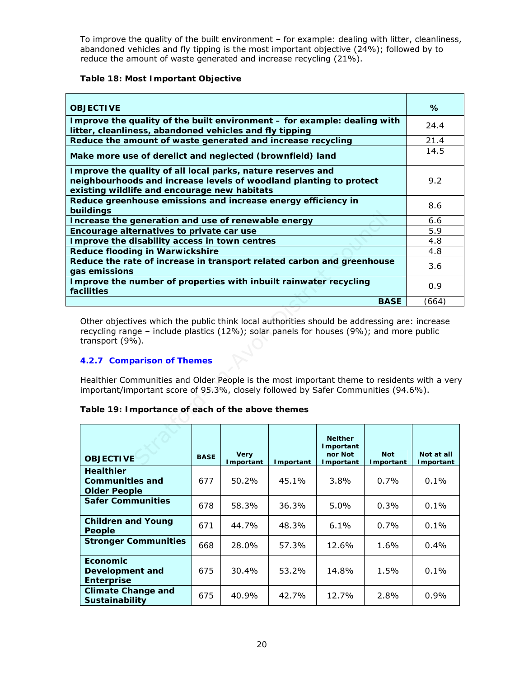To improve the quality of the built environment – for example: dealing with litter, cleanliness, abandoned vehicles and fly tipping is the most important objective (24%); followed by to reduce the amount of waste generated and increase recycling (21%).

### **Table 18: Most Important Objective**

| <b>OBJECTIVE</b>                                                                                                                                                                                                                                                                                                                                                                                                                                                                  |             |                          |           |                                                     |                         | $\%$                            |
|-----------------------------------------------------------------------------------------------------------------------------------------------------------------------------------------------------------------------------------------------------------------------------------------------------------------------------------------------------------------------------------------------------------------------------------------------------------------------------------|-------------|--------------------------|-----------|-----------------------------------------------------|-------------------------|---------------------------------|
| Improve the quality of the built environment - for example: dealing with<br>litter, cleanliness, abandoned vehicles and fly tipping                                                                                                                                                                                                                                                                                                                                               |             | 24.4                     |           |                                                     |                         |                                 |
| Reduce the amount of waste generated and increase recycling                                                                                                                                                                                                                                                                                                                                                                                                                       |             | 21.4                     |           |                                                     |                         |                                 |
| Make more use of derelict and neglected (brownfield) land                                                                                                                                                                                                                                                                                                                                                                                                                         |             |                          |           |                                                     |                         |                                 |
| Improve the quality of all local parks, nature reserves and<br>neighbourhoods and increase levels of woodland planting to protect<br>existing wildlife and encourage new habitats                                                                                                                                                                                                                                                                                                 |             |                          |           |                                                     |                         |                                 |
| Reduce greenhouse emissions and increase energy efficiency in<br>buildings                                                                                                                                                                                                                                                                                                                                                                                                        |             |                          |           |                                                     |                         | 8.6                             |
| Increase the generation and use of renewable energy                                                                                                                                                                                                                                                                                                                                                                                                                               |             |                          |           |                                                     |                         | 6.6                             |
| Encourage alternatives to private car use                                                                                                                                                                                                                                                                                                                                                                                                                                         |             |                          |           |                                                     |                         | 5.9                             |
| Improve the disability access in town centres                                                                                                                                                                                                                                                                                                                                                                                                                                     |             |                          |           |                                                     |                         | 4.8                             |
| <b>Reduce flooding in Warwickshire</b>                                                                                                                                                                                                                                                                                                                                                                                                                                            |             |                          |           |                                                     |                         | 4.8                             |
| Reduce the rate of increase in transport related carbon and greenhouse<br>gas emissions                                                                                                                                                                                                                                                                                                                                                                                           |             |                          |           |                                                     |                         | 3.6                             |
| Improve the number of properties with inbuilt rainwater recycling<br>facilities                                                                                                                                                                                                                                                                                                                                                                                                   |             |                          |           |                                                     |                         | 0.9                             |
|                                                                                                                                                                                                                                                                                                                                                                                                                                                                                   |             |                          |           |                                                     | <b>BASE</b>             | (664)                           |
| Other objectives which the public think local authorities should be addressing are: increase<br>recycling range – include plastics (12%); solar panels for houses (9%); and more public<br>transport (9%).<br>4.2.7 Comparison of Themes<br>Healthier Communities and Older People is the most important theme to residents with a very<br>important/important score of 95.3%, closely followed by Safer Communities (94.6%).<br>Table 19: Importance of each of the above themes |             |                          |           |                                                     |                         |                                 |
| <b>OBJECTIVE</b>                                                                                                                                                                                                                                                                                                                                                                                                                                                                  | <b>BASE</b> | <b>Very</b><br>Important | Important | <b>Neither</b><br>Important<br>nor Not<br>Important | <b>Not</b><br>Important | Not at all<br><b>I</b> mportant |

### **4.2.7 Comparison of Themes**

### **Table 19: Importance of each of the above themes**

| <b>OBJECTIVE</b>                                                  | <b>BASE</b> | <b>Very</b><br>Important | Important | <b>Neither</b><br>Important<br>nor Not<br>Important | <b>Not</b><br>Important | Not at all<br><b>I</b> mportant |
|-------------------------------------------------------------------|-------------|--------------------------|-----------|-----------------------------------------------------|-------------------------|---------------------------------|
| <b>Healthier</b><br><b>Communities and</b><br><b>Older People</b> | 677         | 50.2%                    | 45.1%     | $3.8\%$                                             | $0.7\%$                 | $0.1\%$                         |
| <b>Safer Communities</b>                                          | 678         | 58.3%                    | 36.3%     | $5.0\%$                                             | $0.3\%$                 | $0.1\%$                         |
| <b>Children and Young</b><br>People                               | 671         | 44.7%                    | 48.3%     | $6.1\%$                                             | $0.7\%$                 | $0.1\%$                         |
| <b>Stronger Communities</b>                                       | 668         | 28.0%                    | 57.3%     | 12.6%                                               | 1.6%                    | 0.4%                            |
| <b>Economic</b><br>Development and<br><b>Enterprise</b>           | 675         | 30.4%                    | 53.2%     | 14.8%                                               | 1.5%                    | $0.1\%$                         |
| <b>Climate Change and</b><br><b>Sustainability</b>                | 675         | 40.9%                    | 42.7%     | 12.7%                                               | 2.8%                    | $0.9\%$                         |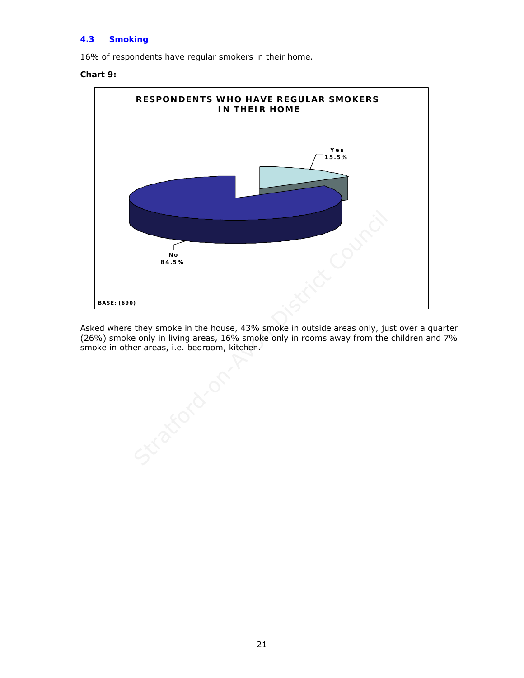### **4.3 Smoking**

16% of respondents have regular smokers in their home.

### **Chart 9:**



Asked where they smoke in the house, 43% smoke in outside areas only, just over a quarter (26%) smoke only in living areas, 16% smoke only in rooms away from the children and 7% smoke in other areas, i.e. bedroom, kitchen.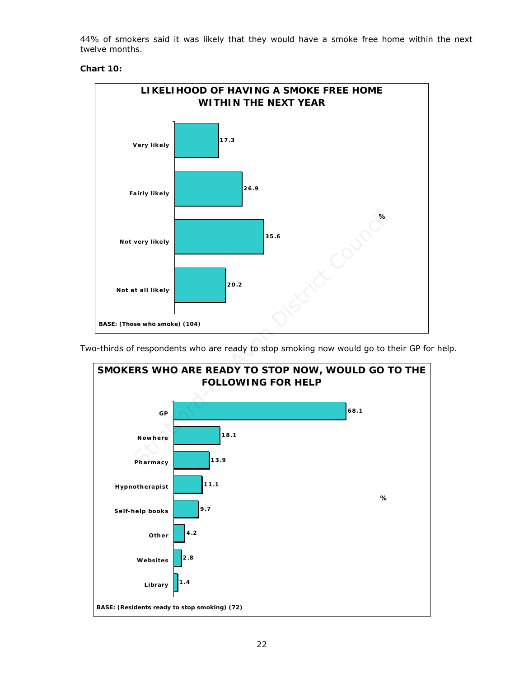44% of smokers said it was likely that they would have a smoke free home within the next twelve months.

### **Chart 10:**



Two-thirds of respondents who are ready to stop smoking now would go to their GP for help.

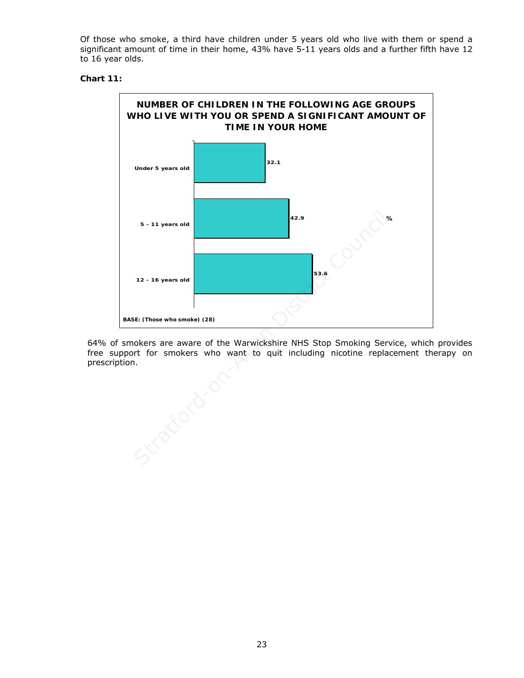Of those who smoke, a third have children under 5 years old who live with them or spend a significant amount of time in their home, 43% have 5-11 years olds and a further fifth have 12 to 16 year olds.

### **Chart 11:**



64% of smokers are aware of the Warwickshire NHS Stop Smoking Service, which provides free support for smokers who want to quit including nicotine replacement therapy on prescription.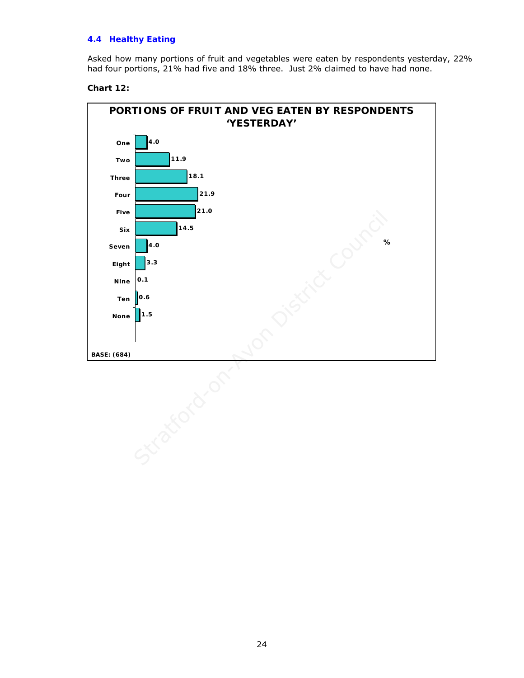### **4.4 Healthy Eating**

Asked how many portions of fruit and vegetables were eaten by respondents yesterday, 22% had four portions, 21% had five and 18% three. Just 2% claimed to have had none.

### **Chart 12:**

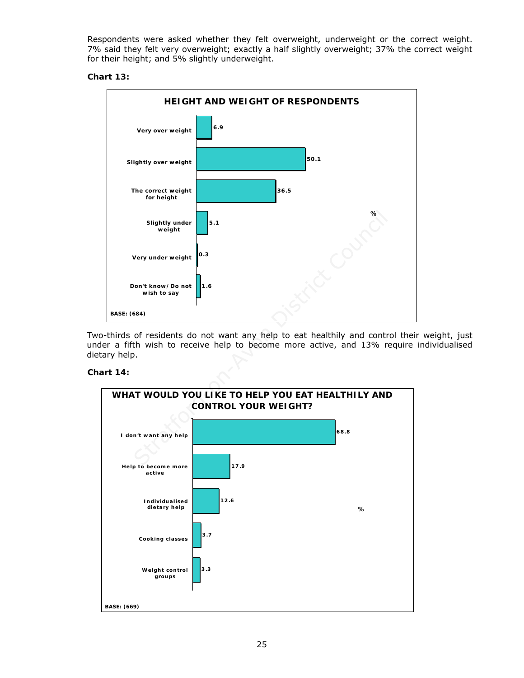Respondents were asked whether they felt overweight, underweight or the correct weight. 7% said they felt very overweight; exactly a half slightly overweight; 37% the correct weight for their height; and 5% slightly underweight.

### **Chart 13:**



Two-thirds of residents do not want any help to eat healthily and control their weight, just under a fifth wish to receive help to become more active, and 13% require individualised dietary help.

### **Chart 14:**

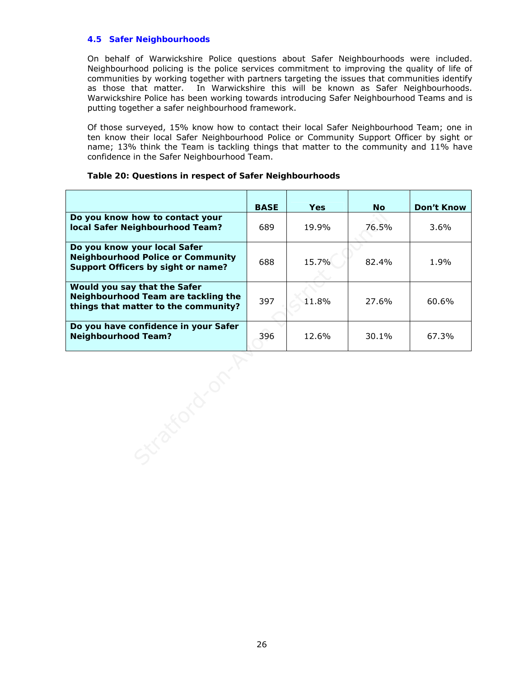### **4.5 Safer Neighbourhoods**

On behalf of Warwickshire Police questions about Safer Neighbourhoods were included. Neighbourhood policing is the police services commitment to improving the quality of life of communities by working together with partners targeting the issues that communities identify as those that matter. In Warwickshire this will be known as Safer Neighbourhoods. Warwickshire Police has been working towards introducing Safer Neighbourhood Teams and is putting together a safer neighbourhood framework.

Of those surveyed, 15% know how to contact their local Safer Neighbourhood Team; one in ten know their local Safer Neighbourhood Police or Community Support Officer by sight or name; 13% think the Team is tackling things that matter to the community and 11% have confidence in the Safer Neighbourhood Team.

|                                                                                                                | <b>BASE</b> | <b>Yes</b> | <b>No</b> | Don't Know |
|----------------------------------------------------------------------------------------------------------------|-------------|------------|-----------|------------|
| Do you know how to contact your<br>local Safer Neighbourhood Team?                                             | 689         | 19.9%      | 76.5%     | 3.6%       |
| Do you know your local Safer<br><b>Neighbourhood Police or Community</b><br>Support Officers by sight or name? | 688         | 15.7%      | 82.4%     | 1.9%       |
| Would you say that the Safer<br>Neighbourhood Team are tackling the<br>things that matter to the community?    | 397         | 11.8%      | 27.6%     | 60.6%      |
| Do you have confidence in your Safer<br><b>Neighbourhood Team?</b>                                             | 396         | 12.6%      | 30.1%     | 67.3%      |
|                                                                                                                |             |            |           |            |

### **Table 20: Questions in respect of Safer Neighbourhoods**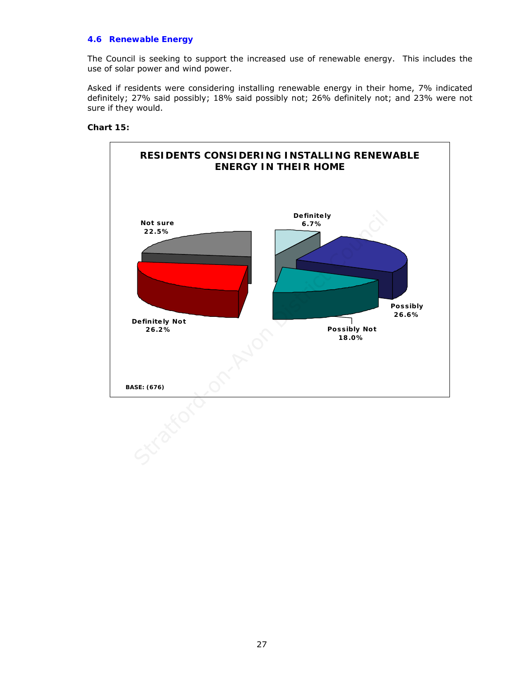### **4.6 Renewable Energy**

The Council is seeking to support the increased use of renewable energy. This includes the use of solar power and wind power.

Asked if residents were considering installing renewable energy in their home, 7% indicated definitely; 27% said possibly; 18% said possibly not; 26% definitely not; and 23% were not sure if they would.

### **Chart 15:**

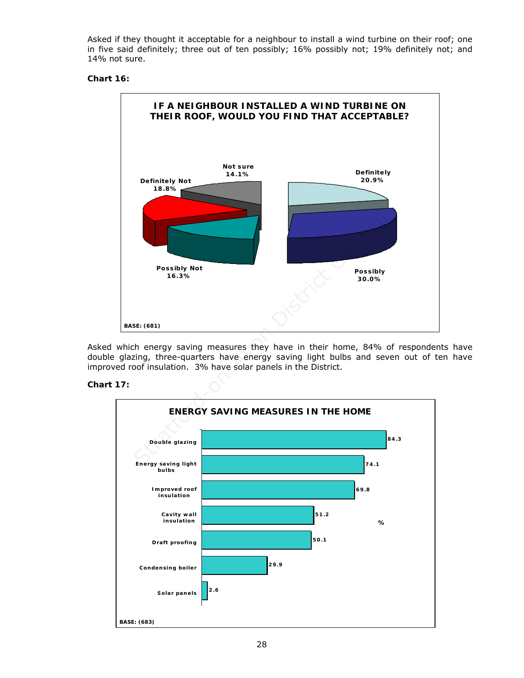Asked if they thought it acceptable for a neighbour to install a wind turbine on their roof; one in five said definitely; three out of ten possibly; 16% possibly not; 19% definitely not; and 14% not sure.

### **Chart 16:**



Asked which energy saving measures they have in their home, 84% of respondents have double glazing, three-quarters have energy saving light bulbs and seven out of ten have improved roof insulation. 3% have solar panels in the District.

### **Chart 17:**